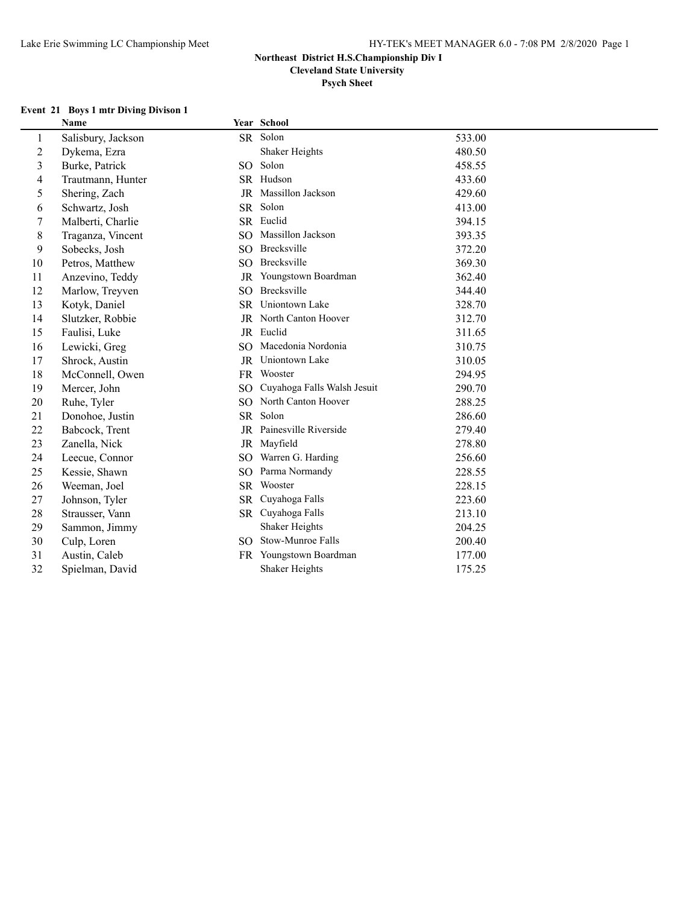**Cleveland State University**

**Psych Sheet**

#### **Event 21 Boys 1 mtr Diving Divison 1**

|    | Name               |                 | Year School                     |        |
|----|--------------------|-----------------|---------------------------------|--------|
| 1  | Salisbury, Jackson |                 | SR Solon                        | 533.00 |
| 2  | Dykema, Ezra       |                 | Shaker Heights                  | 480.50 |
| 3  | Burke, Patrick     |                 | SO Solon                        | 458.55 |
| 4  | Trautmann, Hunter  |                 | SR Hudson                       | 433.60 |
| 5  | Shering, Zach      |                 | JR Massillon Jackson            | 429.60 |
| 6  | Schwartz, Josh     |                 | SR Solon                        | 413.00 |
| 7  | Malberti, Charlie  |                 | SR Euclid                       | 394.15 |
| 8  | Traganza, Vincent  |                 | SO Massillon Jackson            | 393.35 |
| 9  | Sobecks, Josh      |                 | SO Brecksville                  | 372.20 |
| 10 | Petros, Matthew    |                 | SO Brecksville                  | 369.30 |
| 11 | Anzevino, Teddy    |                 | JR Youngstown Boardman          | 362.40 |
| 12 | Marlow, Treyven    | SO <sub>2</sub> | Brecksville                     | 344.40 |
| 13 | Kotyk, Daniel      |                 | SR Uniontown Lake               | 328.70 |
| 14 | Slutzker, Robbie   |                 | JR North Canton Hoover          | 312.70 |
| 15 | Faulisi, Luke      |                 | JR Euclid                       | 311.65 |
| 16 | Lewicki, Greg      |                 | SO Macedonia Nordonia           | 310.75 |
| 17 | Shrock, Austin     |                 | JR Uniontown Lake               | 310.05 |
| 18 | McConnell, Owen    |                 | FR Wooster                      | 294.95 |
| 19 | Mercer, John       |                 | SO Cuyahoga Falls Walsh Jesuit  | 290.70 |
| 20 | Ruhe, Tyler        |                 | SO North Canton Hoover          | 288.25 |
| 21 | Donohoe, Justin    |                 | SR Solon                        | 286.60 |
| 22 | Babcock, Trent     |                 | <b>IR</b> Painesville Riverside | 279.40 |
| 23 | Zanella, Nick      |                 | JR Mayfield                     | 278.80 |
| 24 | Leecue, Connor     |                 | SO Warren G. Harding            | 256.60 |
| 25 | Kessie, Shawn      |                 | SO Parma Normandy               | 228.55 |
| 26 | Weeman, Joel       |                 | SR Wooster                      | 228.15 |
| 27 | Johnson, Tyler     |                 | SR Cuyahoga Falls               | 223.60 |
| 28 | Strausser, Vann    |                 | SR Cuyahoga Falls               | 213.10 |
| 29 | Sammon, Jimmy      |                 | Shaker Heights                  | 204.25 |
| 30 | Culp, Loren        |                 | SO Stow-Munroe Falls            | 200.40 |
| 31 | Austin, Caleb      |                 | FR Youngstown Boardman          | 177.00 |
| 32 | Spielman, David    |                 | <b>Shaker Heights</b>           | 175.25 |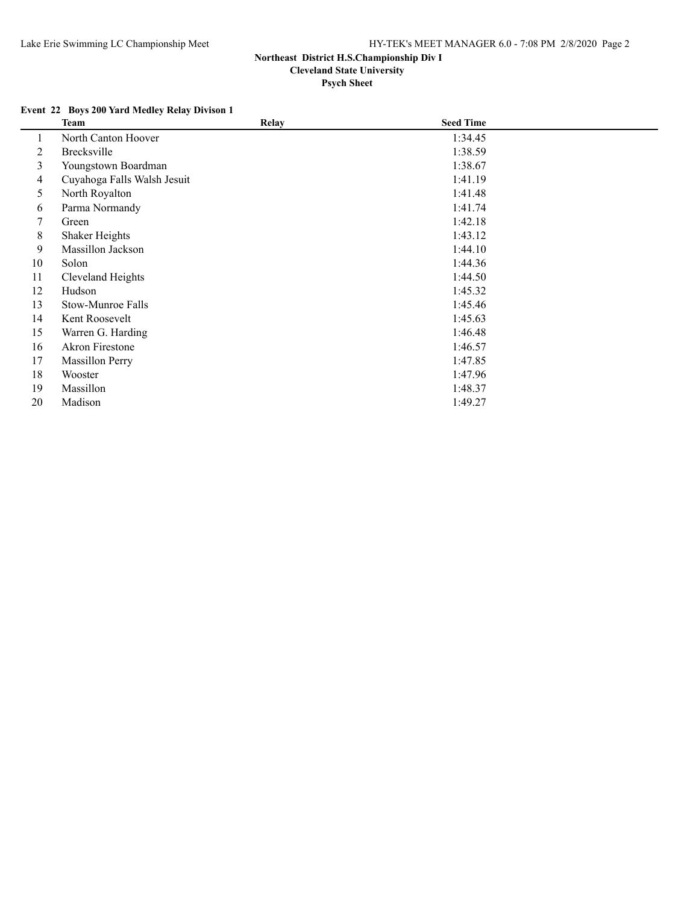## **Event 22 Boys 200 Yard Medley Relay Divison 1**

|    | Team                        | <b>Relay</b> | <b>Seed Time</b> |  |
|----|-----------------------------|--------------|------------------|--|
|    | North Canton Hoover         |              | 1:34.45          |  |
| 2  | Brecksville                 |              | 1:38.59          |  |
| 3  | Youngstown Boardman         |              | 1:38.67          |  |
| 4  | Cuyahoga Falls Walsh Jesuit |              | 1:41.19          |  |
| 5  | North Royalton              |              | 1:41.48          |  |
| 6  | Parma Normandy              |              | 1:41.74          |  |
| 7  | Green                       |              | 1:42.18          |  |
| 8  | Shaker Heights              |              | 1:43.12          |  |
| 9  | Massillon Jackson           |              | 1:44.10          |  |
| 10 | Solon                       |              | 1:44.36          |  |
| 11 | Cleveland Heights           |              | 1:44.50          |  |
| 12 | Hudson                      |              | 1:45.32          |  |
| 13 | Stow-Munroe Falls           |              | 1:45.46          |  |
| 14 | Kent Roosevelt              |              | 1:45.63          |  |
| 15 | Warren G. Harding           |              | 1:46.48          |  |
| 16 | <b>Akron Firestone</b>      |              | 1:46.57          |  |
| 17 | <b>Massillon Perry</b>      |              | 1:47.85          |  |
| 18 | Wooster                     |              | 1:47.96          |  |
| 19 | Massillon                   |              | 1:48.37          |  |
| 20 | Madison                     |              | 1:49.27          |  |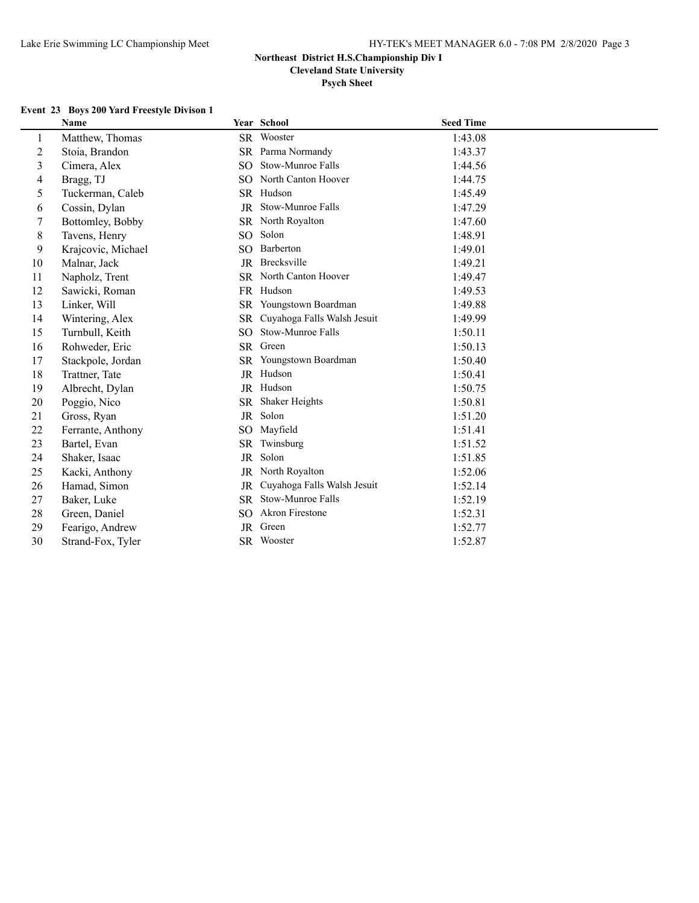**Psych Sheet**

#### **Event 23 Boys 200 Yard Freestyle Divison 1**

|                | <b>Name</b>        |                 | Year School                 | <b>Seed Time</b> |
|----------------|--------------------|-----------------|-----------------------------|------------------|
| 1              | Matthew, Thomas    |                 | SR Wooster                  | 1:43.08          |
| $\overline{c}$ | Stoia, Brandon     | SR              | Parma Normandy              | 1:43.37          |
| 3              | Cimera, Alex       | SO.             | Stow-Munroe Falls           | 1:44.56          |
| 4              | Bragg, TJ          | SO.             | North Canton Hoover         | 1:44.75          |
| 5              | Tuckerman, Caleb   |                 | SR Hudson                   | 1:45.49          |
| 6              | Cossin, Dylan      | JR              | Stow-Munroe Falls           | 1:47.29          |
| 7              | Bottomley, Bobby   |                 | SR North Royalton           | 1:47.60          |
| 8              | Tavens, Henry      | SO <sub>1</sub> | Solon                       | 1:48.91          |
| 9              | Krajcovic, Michael | SO.             | Barberton                   | 1:49.01          |
| 10             | Malnar, Jack       |                 | JR Brecksville              | 1:49.21          |
| 11             | Napholz, Trent     |                 | SR North Canton Hoover      | 1:49.47          |
| 12             | Sawicki, Roman     | <b>FR</b>       | Hudson                      | 1:49.53          |
| 13             | Linker, Will       | <b>SR</b>       | Youngstown Boardman         | 1:49.88          |
| 14             | Wintering, Alex    | <b>SR</b>       | Cuyahoga Falls Walsh Jesuit | 1:49.99          |
| 15             | Turnbull, Keith    | SO.             | Stow-Munroe Falls           | 1:50.11          |
| 16             | Rohweder, Eric     | <b>SR</b>       | Green                       | 1:50.13          |
| 17             | Stackpole, Jordan  | SR              | Youngstown Boardman         | 1:50.40          |
| 18             | Trattner, Tate     |                 | JR Hudson                   | 1:50.41          |
| 19             | Albrecht, Dylan    |                 | JR Hudson                   | 1:50.75          |
| 20             | Poggio, Nico       | <b>SR</b>       | Shaker Heights              | 1:50.81          |
| 21             | Gross, Ryan        | JR              | Solon                       | 1:51.20          |
| 22             | Ferrante, Anthony  | SO <sub>1</sub> | Mayfield                    | 1:51.41          |
| 23             | Bartel, Evan       | SR              | Twinsburg                   | 1:51.52          |
| 24             | Shaker, Isaac      | <b>JR</b>       | Solon                       | 1:51.85          |
| 25             | Kacki, Anthony     | JR              | North Royalton              | 1:52.06          |
| 26             | Hamad, Simon       | <b>JR</b>       | Cuyahoga Falls Walsh Jesuit | 1:52.14          |
| 27             | Baker, Luke        | SR              | Stow-Munroe Falls           | 1:52.19          |
| 28             | Green, Daniel      | SO.             | Akron Firestone             | 1:52.31          |
| 29             | Fearigo, Andrew    | <b>JR</b>       | Green                       | 1:52.77          |
| 30             | Strand-Fox, Tyler  |                 | SR Wooster                  | 1:52.87          |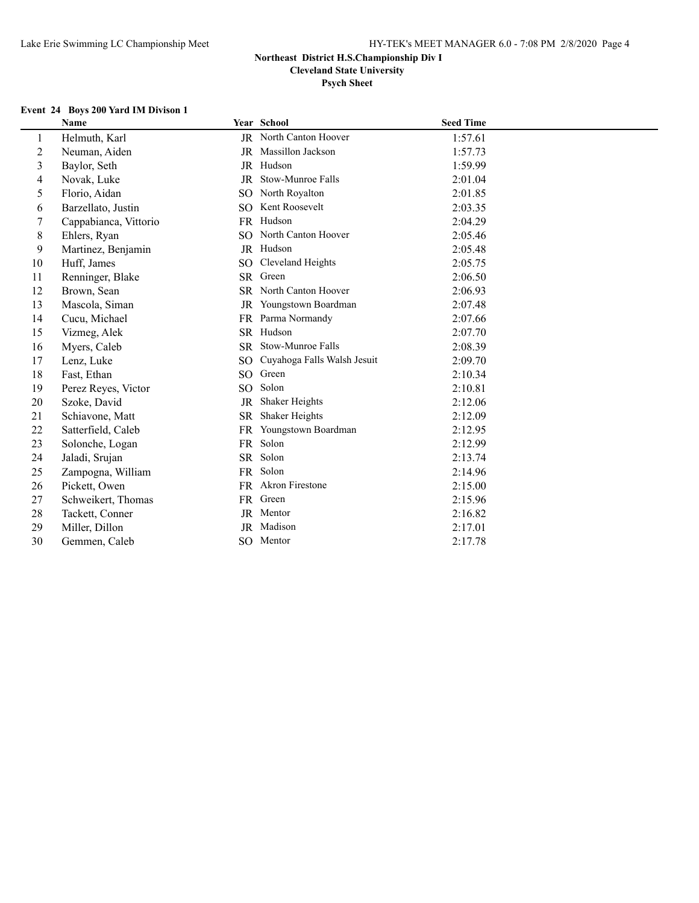**Psych Sheet**

# **Event 24 Boys 200 Yard IM Divison 1**

|                | Name                  |           | Year School                 | <b>Seed Time</b> |
|----------------|-----------------------|-----------|-----------------------------|------------------|
| 1              | Helmuth, Karl         |           | JR North Canton Hoover      | 1:57.61          |
| $\overline{c}$ | Neuman, Aiden         |           | JR Massillon Jackson        | 1:57.73          |
| 3              | Baylor, Seth          |           | JR Hudson                   | 1:59.99          |
| 4              | Novak, Luke           | JR        | Stow-Munroe Falls           | 2:01.04          |
| 5              | Florio, Aidan         | SO        | North Royalton              | 2:01.85          |
| 6              | Barzellato, Justin    |           | SO Kent Roosevelt           | 2:03.35          |
| 7              | Cappabianca, Vittorio |           | FR Hudson                   | 2:04.29          |
| 8              | Ehlers, Ryan          |           | SO North Canton Hoover      | 2:05.46          |
| 9              | Martinez, Benjamin    |           | JR Hudson                   | 2:05.48          |
| 10             | Huff, James           | SO.       | Cleveland Heights           | 2:05.75          |
| 11             | Renninger, Blake      |           | SR Green                    | 2:06.50          |
| 12             | Brown, Sean           |           | SR North Canton Hoover      | 2:06.93          |
| 13             | Mascola, Siman        | JR        | Youngstown Boardman         | 2:07.48          |
| 14             | Cucu, Michael         | <b>FR</b> | Parma Normandy              | 2:07.66          |
| 15             | Vizmeg, Alek          |           | SR Hudson                   | 2:07.70          |
| 16             | Myers, Caleb          | <b>SR</b> | Stow-Munroe Falls           | 2:08.39          |
| 17             | Lenz, Luke            | SO.       | Cuyahoga Falls Walsh Jesuit | 2:09.70          |
| 18             | Fast, Ethan           | SO.       | Green                       | 2:10.34          |
| 19             | Perez Reyes, Victor   | SO.       | Solon                       | 2:10.81          |
| 20             | Szoke, David          | <b>JR</b> | Shaker Heights              | 2:12.06          |
| 21             | Schiavone, Matt       | <b>SR</b> | Shaker Heights              | 2:12.09          |
| 22             | Satterfield, Caleb    | <b>FR</b> | Youngstown Boardman         | 2:12.95          |
| 23             | Solonche, Logan       | <b>FR</b> | Solon                       | 2:12.99          |
| 24             | Jaladi, Srujan        |           | SR Solon                    | 2:13.74          |
| 25             | Zampogna, William     |           | FR Solon                    | 2:14.96          |
| 26             | Pickett, Owen         |           | FR Akron Firestone          | 2:15.00          |
| 27             | Schweikert, Thomas    |           | FR Green                    | 2:15.96          |
| 28             | Tackett, Conner       |           | JR Mentor                   | 2:16.82          |
| 29             | Miller, Dillon        | JR        | Madison                     | 2:17.01          |
| 30             | Gemmen, Caleb         |           | SO Mentor                   | 2:17.78          |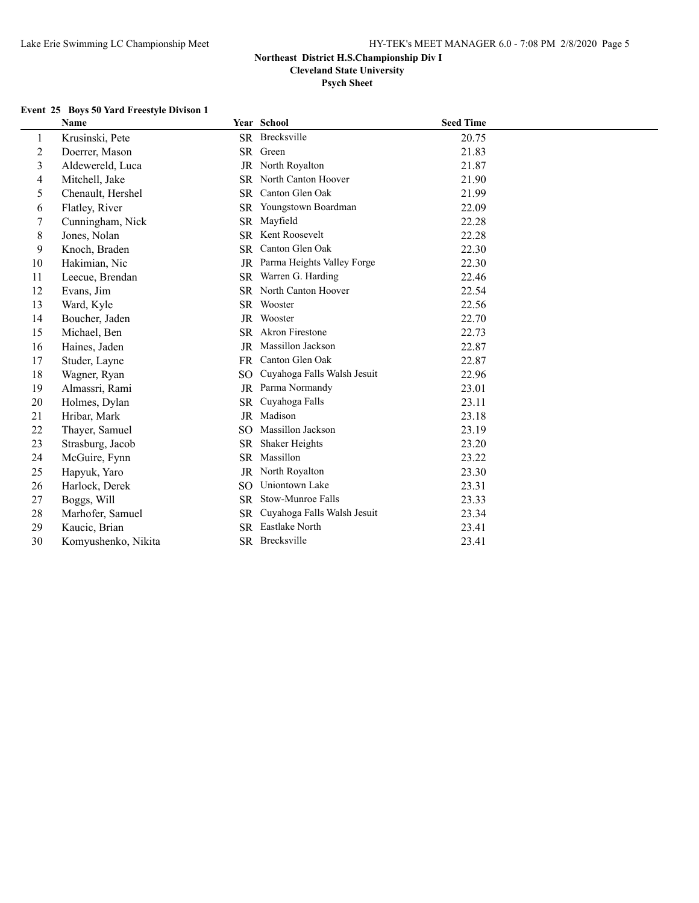**Cleveland State University**

**Psych Sheet**

#### **Event 25 Boys 50 Yard Freestyle Divison 1**

|                  | <b>Name</b>         |           | Year School                 | <b>Seed Time</b> |
|------------------|---------------------|-----------|-----------------------------|------------------|
| 1                | Krusinski, Pete     |           | SR Brecksville              | 20.75            |
| $\boldsymbol{2}$ | Doerrer, Mason      |           | SR Green                    | 21.83            |
| $\overline{3}$   | Aldewereld, Luca    | <b>JR</b> | North Royalton              | 21.87            |
| 4                | Mitchell, Jake      | SR        | North Canton Hoover         | 21.90            |
| 5                | Chenault, Hershel   | <b>SR</b> | Canton Glen Oak             | 21.99            |
| 6                | Flatley, River      | SR        | Youngstown Boardman         | 22.09            |
| 7                | Cunningham, Nick    | SR        | Mayfield                    | 22.28            |
| $\,8$            | Jones, Nolan        | <b>SR</b> | Kent Roosevelt              | 22.28            |
| 9                | Knoch, Braden       | SR        | Canton Glen Oak             | 22.30            |
| 10               | Hakimian, Nic       | JR        | Parma Heights Valley Forge  | 22.30            |
| 11               | Leecue, Brendan     | <b>SR</b> | Warren G. Harding           | 22.46            |
| 12               | Evans, Jim          |           | SR North Canton Hoover      | 22.54            |
| 13               | Ward, Kyle          | SR.       | Wooster                     | 22.56            |
| 14               | Boucher, Jaden      | JR        | Wooster                     | 22.70            |
| 15               | Michael, Ben        | SR -      | <b>Akron Firestone</b>      | 22.73            |
| 16               | Haines, Jaden       | <b>JR</b> | Massillon Jackson           | 22.87            |
| 17               | Studer, Layne       | FR.       | Canton Glen Oak             | 22.87            |
| 18               | Wagner, Ryan        | <b>SO</b> | Cuyahoga Falls Walsh Jesuit | 22.96            |
| 19               | Almassri, Rami      | JR        | Parma Normandy              | 23.01            |
| 20               | Holmes, Dylan       | <b>SR</b> | Cuyahoga Falls              | 23.11            |
| 21               | Hribar, Mark        | <b>JR</b> | Madison                     | 23.18            |
| 22               | Thayer, Samuel      | SO.       | Massillon Jackson           | 23.19            |
| 23               | Strasburg, Jacob    | <b>SR</b> | Shaker Heights              | 23.20            |
| 24               | McGuire, Fynn       | <b>SR</b> | Massillon                   | 23.22            |
| 25               | Hapyuk, Yaro        | JR        | North Royalton              | 23.30            |
| 26               | Harlock, Derek      | SO.       | Uniontown Lake              | 23.31            |
| 27               | Boggs, Will         | SR.       | Stow-Munroe Falls           | 23.33            |
| 28               | Marhofer, Samuel    | SR.       | Cuyahoga Falls Walsh Jesuit | 23.34            |
| 29               | Kaucic, Brian       | <b>SR</b> | Eastlake North              | 23.41            |
| 30               | Komyushenko, Nikita |           | SR Brecksville              | 23.41            |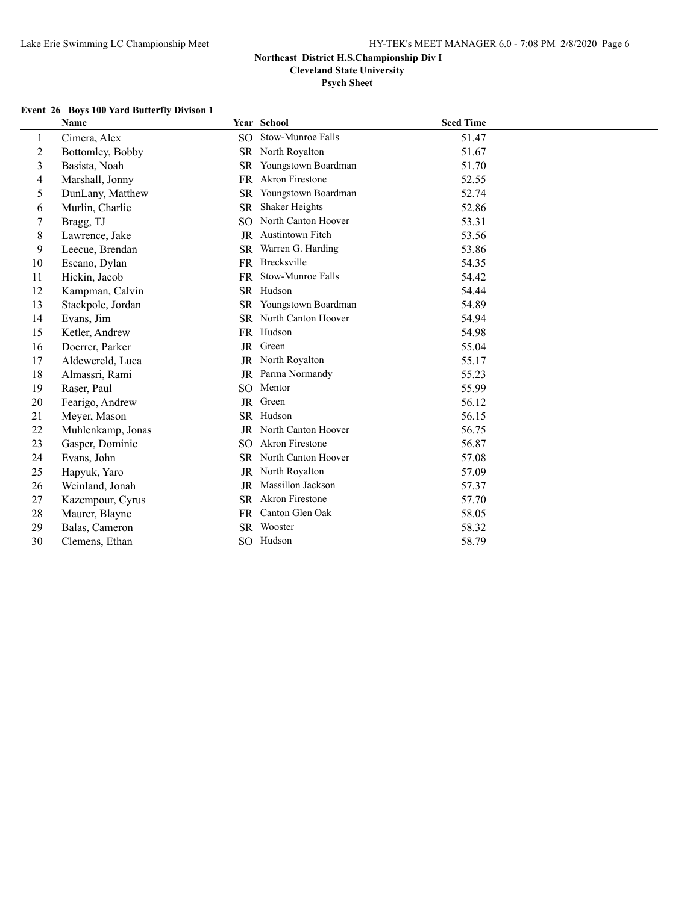**Cleveland State University**

# **Psych Sheet**

# **Event 26 Boys 100 Yard Butterfly Divison 1**

|                | <b>Name</b>       |           | <b>Year School</b>     | <b>Seed Time</b> |
|----------------|-------------------|-----------|------------------------|------------------|
| 1              | Cimera, Alex      | SO        | Stow-Munroe Falls      | 51.47            |
| $\overline{2}$ | Bottomley, Bobby  | SR.       | North Royalton         | 51.67            |
| 3              | Basista, Noah     | <b>SR</b> | Youngstown Boardman    | 51.70            |
| 4              | Marshall, Jonny   | FR        | <b>Akron Firestone</b> | 52.55            |
| 5              | DunLany, Matthew  | SR.       | Youngstown Boardman    | 52.74            |
| 6              | Murlin, Charlie   | <b>SR</b> | Shaker Heights         | 52.86            |
| $\tau$         | Bragg, TJ         | SO.       | North Canton Hoover    | 53.31            |
| 8              | Lawrence, Jake    |           | JR Austintown Fitch    | 53.56            |
| 9              | Leecue, Brendan   | SR.       | Warren G. Harding      | 53.86            |
| 10             | Escano, Dylan     |           | FR Brecksville         | 54.35            |
| 11             | Hickin, Jacob     | <b>FR</b> | Stow-Munroe Falls      | 54.42            |
| 12             | Kampman, Calvin   | SR.       | Hudson                 | 54.44            |
| 13             | Stackpole, Jordan | SR.       | Youngstown Boardman    | 54.89            |
| 14             | Evans, Jim        | SR.       | North Canton Hoover    | 54.94            |
| 15             | Ketler, Andrew    |           | FR Hudson              | 54.98            |
| 16             | Doerrer, Parker   | <b>JR</b> | Green                  | 55.04            |
| 17             | Aldewereld, Luca  | JR        | North Royalton         | 55.17            |
| 18             | Almassri, Rami    | <b>JR</b> | Parma Normandy         | 55.23            |
| 19             | Raser, Paul       | SO.       | Mentor                 | 55.99            |
| 20             | Fearigo, Andrew   | JR        | Green                  | 56.12            |
| 21             | Meyer, Mason      |           | SR Hudson              | 56.15            |
| 22             | Muhlenkamp, Jonas | JR        | North Canton Hoover    | 56.75            |
| 23             | Gasper, Dominic   | SO.       | <b>Akron Firestone</b> | 56.87            |
| 24             | Evans, John       | <b>SR</b> | North Canton Hoover    | 57.08            |
| 25             | Hapyuk, Yaro      | JR        | North Royalton         | 57.09            |
| 26             | Weinland, Jonah   | <b>JR</b> | Massillon Jackson      | 57.37            |
| 27             | Kazempour, Cyrus  | <b>SR</b> | <b>Akron Firestone</b> | 57.70            |
| 28             | Maurer, Blayne    | FR        | Canton Glen Oak        | 58.05            |
| 29             | Balas, Cameron    | SR.       | Wooster                | 58.32            |
| 30             | Clemens, Ethan    |           | SO Hudson              | 58.79            |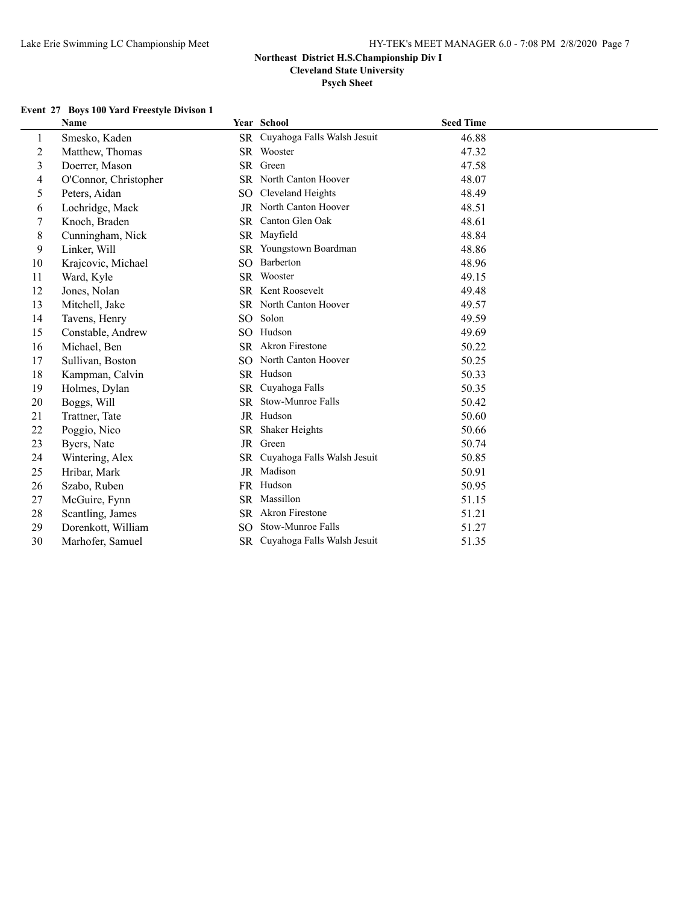#### **Psych Sheet**

## **Event 27 Boys 100 Yard Freestyle Divison 1**

|                  | <b>Name</b>           |                 | Year School                    | <b>Seed Time</b> |
|------------------|-----------------------|-----------------|--------------------------------|------------------|
| 1                | Smesko, Kaden         | <b>SR</b>       | Cuyahoga Falls Walsh Jesuit    | 46.88            |
| $\boldsymbol{2}$ | Matthew, Thomas       |                 | SR Wooster                     | 47.32            |
| $\mathfrak{Z}$   | Doerrer, Mason        | <b>SR</b>       | Green                          | 47.58            |
| 4                | O'Connor, Christopher |                 | SR North Canton Hoover         | 48.07            |
| 5                | Peters, Aidan         | SO.             | Cleveland Heights              | 48.49            |
| 6                | Lochridge, Mack       |                 | JR North Canton Hoover         | 48.51            |
| 7                | Knoch, Braden         | <b>SR</b>       | Canton Glen Oak                | 48.61            |
| 8                | Cunningham, Nick      |                 | SR Mayfield                    | 48.84            |
| 9                | Linker, Will          | <b>SR</b>       | Youngstown Boardman            | 48.86            |
| 10               | Krajcovic, Michael    | SO.             | Barberton                      | 48.96            |
| 11               | Ward, Kyle            | SR.             | Wooster                        | 49.15            |
| 12               | Jones, Nolan          |                 | SR Kent Roosevelt              | 49.48            |
| 13               | Mitchell, Jake        |                 | SR North Canton Hoover         | 49.57            |
| 14               | Tavens, Henry         | SO.             | Solon                          | 49.59            |
| 15               | Constable, Andrew     | SO <sub>2</sub> | Hudson                         | 49.69            |
| 16               | Michael, Ben          | <b>SR</b>       | <b>Akron Firestone</b>         | 50.22            |
| 17               | Sullivan, Boston      | SO.             | North Canton Hoover            | 50.25            |
| 18               | Kampman, Calvin       |                 | SR Hudson                      | 50.33            |
| 19               | Holmes, Dylan         | <b>SR</b>       | Cuyahoga Falls                 | 50.35            |
| 20               | Boggs, Will           | <b>SR</b>       | Stow-Munroe Falls              | 50.42            |
| 21               | Trattner, Tate        |                 | JR Hudson                      | 50.60            |
| 22               | Poggio, Nico          | <b>SR</b>       | Shaker Heights                 | 50.66            |
| 23               | Byers, Nate           | JR              | Green                          | 50.74            |
| 24               | Wintering, Alex       | SR              | Cuyahoga Falls Walsh Jesuit    | 50.85            |
| 25               | Hribar, Mark          |                 | JR Madison                     | 50.91            |
| 26               | Szabo, Ruben          |                 | FR Hudson                      | 50.95            |
| 27               | McGuire, Fynn         |                 | SR Massillon                   | 51.15            |
| 28               | Scantling, James      |                 | SR Akron Firestone             | 51.21            |
| 29               | Dorenkott, William    | SO.             | Stow-Munroe Falls              | 51.27            |
| 30               | Marhofer, Samuel      |                 | SR Cuyahoga Falls Walsh Jesuit | 51.35            |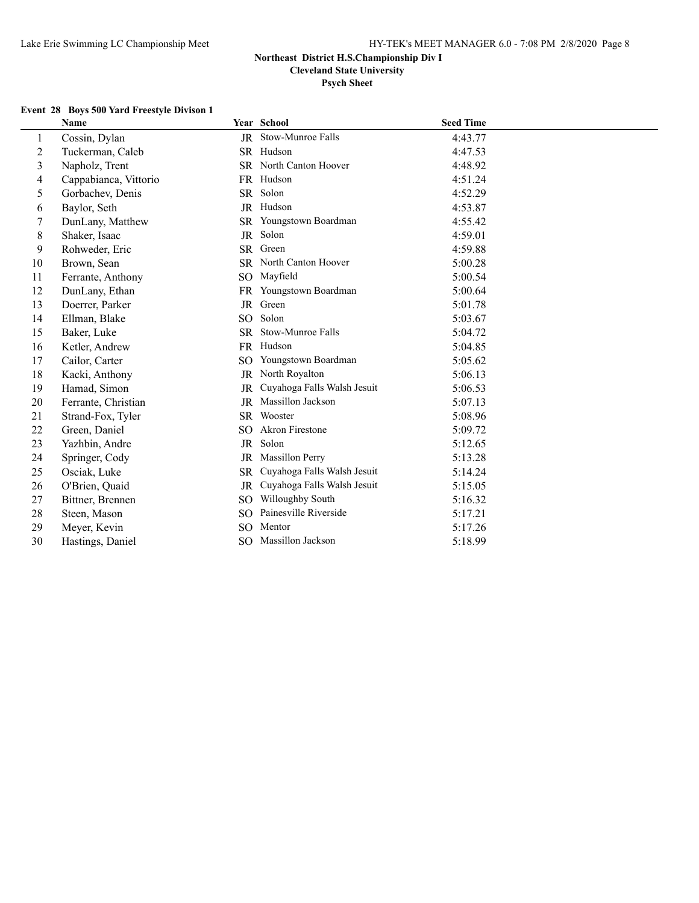**Psych Sheet**

#### **Event 28 Boys 500 Yard Freestyle Divison 1**

|                | Name                  |           | Year School                 | <b>Seed Time</b> |
|----------------|-----------------------|-----------|-----------------------------|------------------|
| $\mathbf{1}$   | Cossin, Dylan         |           | JR Stow-Munroe Falls        | 4:43.77          |
| $\overline{2}$ | Tuckerman, Caleb      |           | SR Hudson                   | 4:47.53          |
| $\overline{3}$ | Napholz, Trent        |           | SR North Canton Hoover      | 4:48.92          |
| 4              | Cappabianca, Vittorio |           | FR Hudson                   | 4:51.24          |
| 5              | Gorbachev, Denis      |           | SR Solon                    | 4:52.29          |
| 6              | Baylor, Seth          |           | JR Hudson                   | 4:53.87          |
| 7              | DunLany, Matthew      |           | SR Youngstown Boardman      | 4:55.42          |
| 8              | Shaker, Isaac         | JR        | Solon                       | 4:59.01          |
| 9              | Rohweder, Eric        | SR        | Green                       | 4:59.88          |
| 10             | Brown, Sean           |           | SR North Canton Hoover      | 5:00.28          |
| 11             | Ferrante, Anthony     | SO.       | Mayfield                    | 5:00.54          |
| 12             | DunLany, Ethan        |           | FR Youngstown Boardman      | 5:00.64          |
| 13             | Doerrer, Parker       | JR        | Green                       | 5:01.78          |
| 14             | Ellman, Blake         | SO.       | Solon                       | 5:03.67          |
| 15             | Baker, Luke           | <b>SR</b> | Stow-Munroe Falls           | 5:04.72          |
| 16             | Ketler, Andrew        | <b>FR</b> | Hudson                      | 5:04.85          |
| 17             | Cailor, Carter        | SO.       | Youngstown Boardman         | 5:05.62          |
| 18             | Kacki, Anthony        | <b>JR</b> | North Royalton              | 5:06.13          |
| 19             | Hamad, Simon          | <b>JR</b> | Cuyahoga Falls Walsh Jesuit | 5:06.53          |
| 20             | Ferrante, Christian   | JR        | Massillon Jackson           | 5:07.13          |
| 21             | Strand-Fox, Tyler     | SR.       | Wooster                     | 5:08.96          |
| 22             | Green, Daniel         | SO.       | <b>Akron Firestone</b>      | 5:09.72          |
| 23             | Yazhbin, Andre        | JR        | Solon                       | 5:12.65          |
| 24             | Springer, Cody        | JR        | Massillon Perry             | 5:13.28          |
| 25             | Osciak, Luke          | <b>SR</b> | Cuyahoga Falls Walsh Jesuit | 5:14.24          |
| 26             | O'Brien, Quaid        | <b>JR</b> | Cuyahoga Falls Walsh Jesuit | 5:15.05          |
| 27             | Bittner, Brennen      | SO.       | Willoughby South            | 5:16.32          |
| 28             | Steen, Mason          | SO.       | Painesville Riverside       | 5:17.21          |
| 29             | Meyer, Kevin          | SO.       | Mentor                      | 5:17.26          |
| 30             | Hastings, Daniel      |           | SO Massillon Jackson        | 5:18.99          |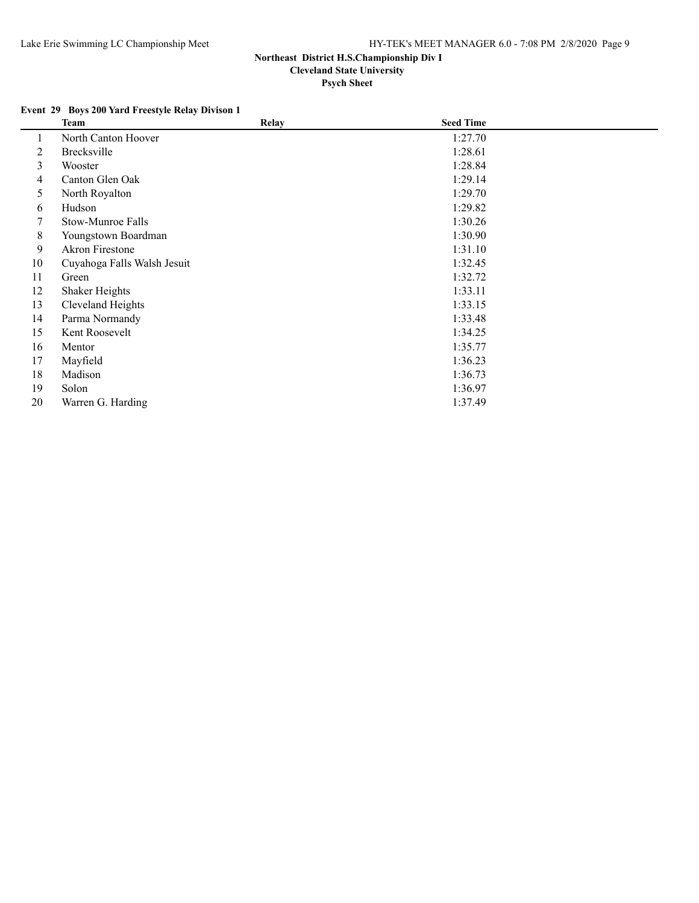## **Event 29 Boys 200 Yard Freestyle Relay Divison 1**

|    | <b>Team</b>                 | Relay | <b>Seed Time</b> |  |
|----|-----------------------------|-------|------------------|--|
|    | North Canton Hoover         |       | 1:27.70          |  |
| 2  | Brecksville                 |       | 1:28.61          |  |
| 3  | Wooster                     |       | 1:28.84          |  |
| 4  | Canton Glen Oak             |       | 1:29.14          |  |
| 5  | North Royalton              |       | 1:29.70          |  |
| 6  | Hudson                      |       | 1:29.82          |  |
|    | Stow-Munroe Falls           |       | 1:30.26          |  |
| 8  | Youngstown Boardman         |       | 1:30.90          |  |
| 9  | Akron Firestone             |       | 1:31.10          |  |
| 10 | Cuyahoga Falls Walsh Jesuit |       | 1:32.45          |  |
| 11 | Green                       |       | 1:32.72          |  |
| 12 | Shaker Heights              |       | 1:33.11          |  |
| 13 | Cleveland Heights           |       | 1:33.15          |  |
| 14 | Parma Normandy              |       | 1:33.48          |  |
| 15 | Kent Roosevelt              |       | 1:34.25          |  |
| 16 | Mentor                      |       | 1:35.77          |  |
| 17 | Mayfield                    |       | 1:36.23          |  |
| 18 | Madison                     |       | 1:36.73          |  |
| 19 | Solon                       |       | 1:36.97          |  |
| 20 | Warren G. Harding           |       | 1:37.49          |  |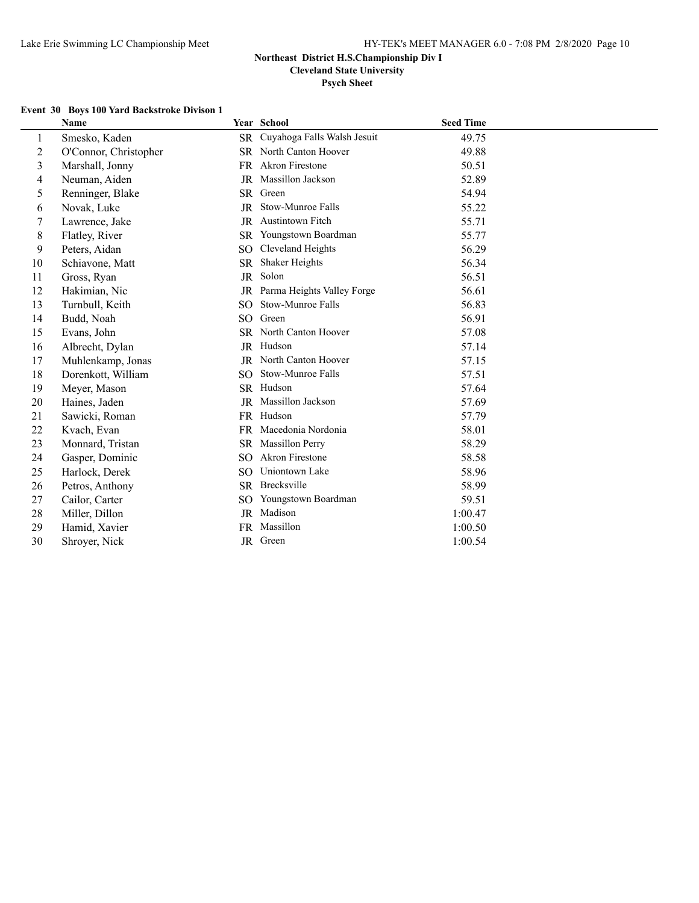**Psych Sheet**

# **Event 30 Boys 100 Yard Backstroke Divison 1**

|                  | <b>Name</b>           |                 | Year School                 | <b>Seed Time</b> |
|------------------|-----------------------|-----------------|-----------------------------|------------------|
| 1                | Smesko, Kaden         | <b>SR</b>       | Cuyahoga Falls Walsh Jesuit | 49.75            |
| $\boldsymbol{2}$ | O'Connor, Christopher | SR              | North Canton Hoover         | 49.88            |
| $\overline{3}$   | Marshall, Jonny       | FR              | Akron Firestone             | 50.51            |
| 4                | Neuman, Aiden         | JR              | Massillon Jackson           | 52.89            |
| 5                | Renninger, Blake      |                 | SR Green                    | 54.94            |
| 6                | Novak, Luke           | JR              | Stow-Munroe Falls           | 55.22            |
| $\tau$           | Lawrence, Jake        | JR.             | <b>Austintown Fitch</b>     | 55.71            |
| $\,8$            | Flatley, River        | <b>SR</b>       | Youngstown Boardman         | 55.77            |
| 9                | Peters, Aidan         | SO              | Cleveland Heights           | 56.29            |
| 10               | Schiavone, Matt       | SR.             | Shaker Heights              | 56.34            |
| 11               | Gross, Ryan           | JR              | Solon                       | 56.51            |
| 12               | Hakimian, Nic         | JR              | Parma Heights Valley Forge  | 56.61            |
| 13               | Turnbull, Keith       | SO.             | Stow-Munroe Falls           | 56.83            |
| 14               | Budd, Noah            | SO <sub>1</sub> | Green                       | 56.91            |
| 15               | Evans, John           |                 | SR North Canton Hoover      | 57.08            |
| 16               | Albrecht, Dylan       |                 | JR Hudson                   | 57.14            |
| 17               | Muhlenkamp, Jonas     | JR              | North Canton Hoover         | 57.15            |
| 18               | Dorenkott, William    | SO.             | Stow-Munroe Falls           | 57.51            |
| 19               | Meyer, Mason          |                 | SR Hudson                   | 57.64            |
| 20               | Haines, Jaden         | JR              | Massillon Jackson           | 57.69            |
| 21               | Sawicki, Roman        |                 | FR Hudson                   | 57.79            |
| 22               | Kvach, Evan           | FR.             | Macedonia Nordonia          | 58.01            |
| 23               | Monnard, Tristan      | <b>SR</b>       | <b>Massillon Perry</b>      | 58.29            |
| 24               | Gasper, Dominic       | SO.             | <b>Akron Firestone</b>      | 58.58            |
| 25               | Harlock, Derek        | SO.             | Uniontown Lake              | 58.96            |
| 26               | Petros, Anthony       | <b>SR</b>       | Brecksville                 | 58.99            |
| 27               | Cailor, Carter        | SO              | Youngstown Boardman         | 59.51            |
| 28               | Miller, Dillon        | JR              | Madison                     | 1:00.47          |
| 29               | Hamid, Xavier         | FR              | Massillon                   | 1:00.50          |
| 30               | Shroyer, Nick         |                 | JR Green                    | 1:00.54          |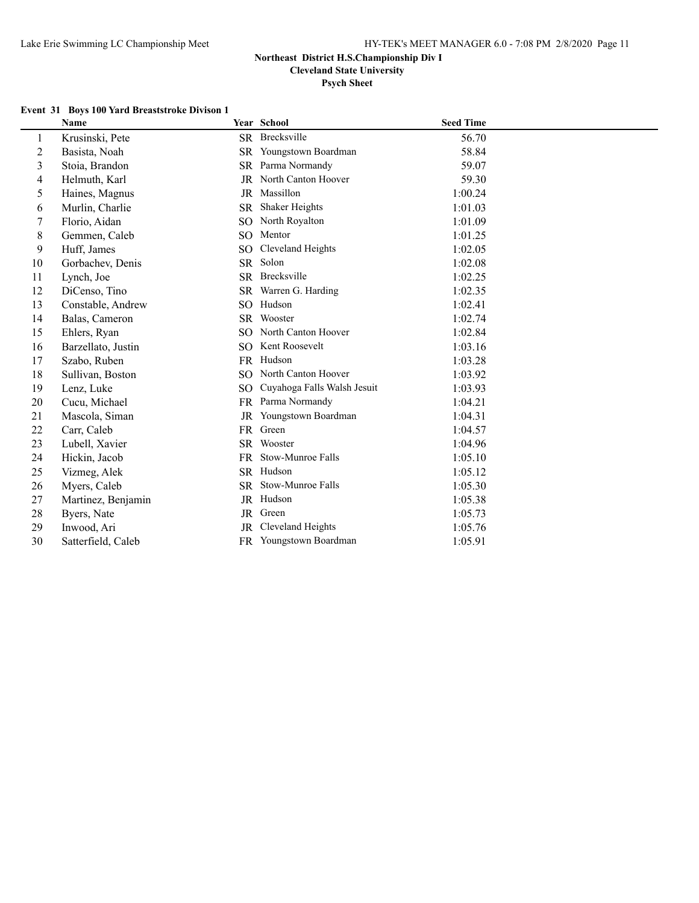**Cleveland State University**

**Psych Sheet**

#### **Event 31 Boys 100 Yard Breaststroke Divison 1**

|                | <b>Name</b>        |                 | Year School                 | <b>Seed Time</b> |
|----------------|--------------------|-----------------|-----------------------------|------------------|
| 1              | Krusinski, Pete    |                 | SR Brecksville              | 56.70            |
| $\overline{2}$ | Basista, Noah      | <b>SR</b>       | Youngstown Boardman         | 58.84            |
| 3              | Stoia, Brandon     | <b>SR</b>       | Parma Normandy              | 59.07            |
| 4              | Helmuth, Karl      | JR              | North Canton Hoover         | 59.30            |
| 5              | Haines, Magnus     | JR              | Massillon                   | 1:00.24          |
| 6              | Murlin, Charlie    | <b>SR</b>       | Shaker Heights              | 1:01.03          |
| 7              | Florio, Aidan      | SO.             | North Royalton              | 1:01.09          |
| 8              | Gemmen, Caleb      | SO.             | Mentor                      | 1:01.25          |
| 9              | Huff, James        | SO.             | Cleveland Heights           | 1:02.05          |
| 10             | Gorbachev, Denis   |                 | SR Solon                    | 1:02.08          |
| 11             | Lynch, Joe         |                 | SR Brecksville              | 1:02.25          |
| 12             | DiCenso, Tino      |                 | SR Warren G. Harding        | 1:02.35          |
| 13             | Constable, Andrew  | SO.             | Hudson                      | 1:02.41          |
| 14             | Balas, Cameron     | <b>SR</b>       | Wooster                     | 1:02.74          |
| 15             | Ehlers, Ryan       | SO.             | North Canton Hoover         | 1:02.84          |
| 16             | Barzellato, Justin | SO.             | Kent Roosevelt              | 1:03.16          |
| 17             | Szabo, Ruben       |                 | FR Hudson                   | 1:03.28          |
| 18             | Sullivan, Boston   | SO <sub>1</sub> | North Canton Hoover         | 1:03.92          |
| 19             | Lenz, Luke         | SO.             | Cuyahoga Falls Walsh Jesuit | 1:03.93          |
| 20             | Cucu, Michael      | <b>FR</b>       | Parma Normandy              | 1:04.21          |
| 21             | Mascola, Siman     | JR              | Youngstown Boardman         | 1:04.31          |
| 22             | Carr, Caleb        |                 | FR Green                    | 1:04.57          |
| 23             | Lubell, Xavier     |                 | SR Wooster                  | 1:04.96          |
| 24             | Hickin, Jacob      |                 | FR Stow-Munroe Falls        | 1:05.10          |
| 25             | Vizmeg, Alek       |                 | SR Hudson                   | 1:05.12          |
| 26             | Myers, Caleb       | SR.             | Stow-Munroe Falls           | 1:05.30          |
| 27             | Martinez, Benjamin |                 | JR Hudson                   | 1:05.38          |
| 28             | Byers, Nate        |                 | JR Green                    | 1:05.73          |
| 29             | Inwood, Ari        | JR              | Cleveland Heights           | 1:05.76          |
| 30             | Satterfield, Caleb |                 | FR Youngstown Boardman      | 1:05.91          |